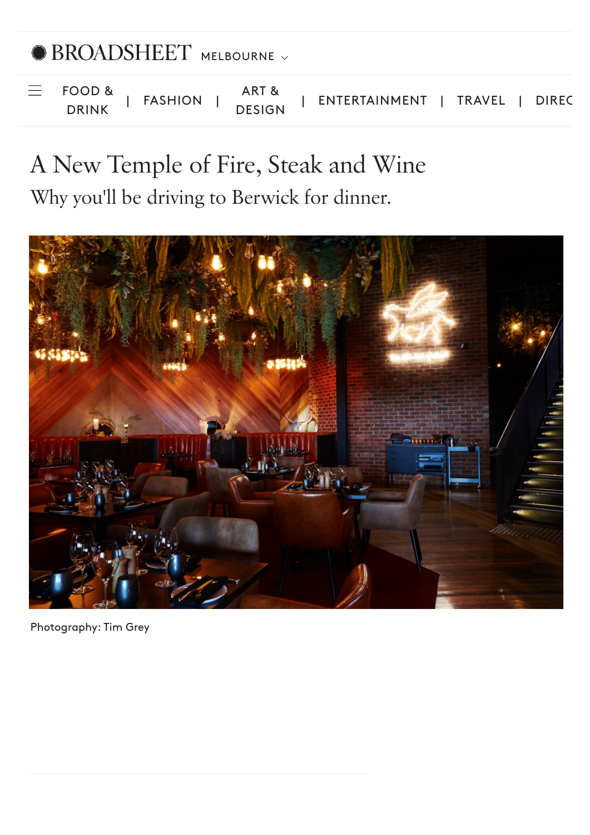

## A New Temple of Fire, Steak and Wine Why you'll be driving to Berwick for dinner.



Photography: Tim Grey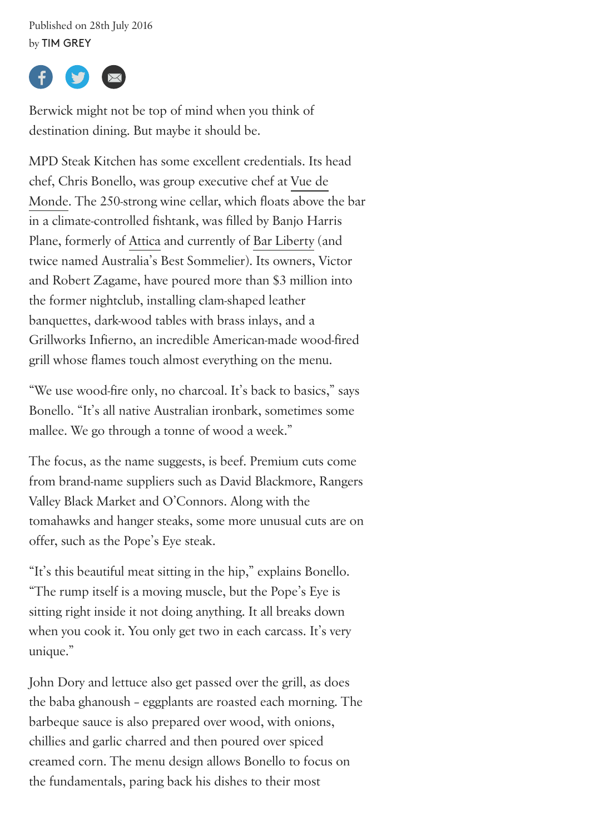Published on 28th July 2016 by TIM GREY



Berwick might not be top of mind when you think of destination dining. But maybe it should be.

MPD Steak Kitchen has some excellent credentials. Its head [chef, Chris Bonello, was group executive chef at Vue de](https://www.broadsheet.com.au/melbourne/food-and-drink/directory/restaurant/vue-de-monde) Monde. The 250-strong wine cellar, which floats above the bar in a climate-controlled fishtank, was filled by Banjo Harris Plane, formerly of [Attica](https://www.broadsheet.com.au/melbourne/food-and-drink/directory/restaurant/attica) and currently of [Bar Liberty](https://www.broadsheet.com.au/melbourne/nightlife/directory/bar/bar-liberty) (and twice named Australia's Best Sommelier). Its owners, Victor and Robert Zagame, have poured more than \$3 million into the former nightclub, installing clam-shaped leather banquettes, dark-wood tables with brass inlays, and a Grillworks Infierno, an incredible American-made wood-fired grill whose flames touch almost everything on the menu.

"We use wood-fire only, no charcoal. It's back to basics," says Bonello. "It's all native Australian ironbark, sometimes some mallee. We go through a tonne of wood a week."

The focus, as the name suggests, is beef. Premium cuts come from brand-name suppliers such as David Blackmore, Rangers Valley Black Market and O'Connors. Along with the tomahawks and hanger steaks, some more unusual cuts are on offer, such as the Pope's Eye steak.

"It's this beautiful meat sitting in the hip," explains Bonello. "The rump itself is a moving muscle, but the Pope's Eye is sitting right inside it not doing anything. It all breaks down when you cook it. You only get two in each carcass. It's very unique."

John Dory and lettuce also get passed over the grill, as does the baba ghanoush – eggplants are roasted each morning. The barbeque sauce is also prepared over wood, with onions, chillies and garlic charred and then poured over spiced creamed corn. The menu design allows Bonello to focus on the fundamentals, paring back his dishes to their most